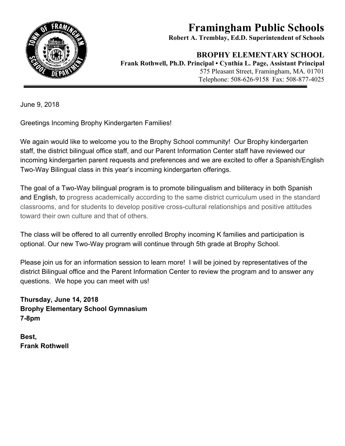

## **Framingham Public Schools**

**Robert A. Tremblay, Ed.D. Superintendent of Schools**

## **BROPHY ELEMENTARY SCHOOL**

**Frank Rothwell, Ph.D. Principal • Cynthia L. Page, Assistant Principal** 575 Pleasant Street, Framingham, MA. 01701 Telephone: 508-626-9158 Fax: 508-877-4025

June 9, 2018

Greetings Incoming Brophy Kindergarten Families!

We again would like to welcome you to the Brophy School community! Our Brophy kindergarten staff, the district bilingual office staff, and our Parent Information Center staff have reviewed our incoming kindergarten parent requests and preferences and we are excited to offer a Spanish/English Two-Way Bilingual class in this year's incoming kindergarten offerings.

The goal of a Two-Way bilingual program is to promote bilingualism and biliteracy in both Spanish and English, to progress academically according to the same district curriculum used in the standard classrooms, and for students to develop positive cross-cultural relationships and positive attitudes toward their own culture and that of others.

The class will be offered to all currently enrolled Brophy incoming K families and participation is optional. Our new Two-Way program will continue through 5th grade at Brophy School.

Please join us for an information session to learn more! I will be joined by representatives of the district Bilingual office and the Parent Information Center to review the program and to answer any questions. We hope you can meet with us!

**Thursday, June 14, 2018 Brophy Elementary School Gymnasium 7-8pm**

**Best, Frank Rothwell**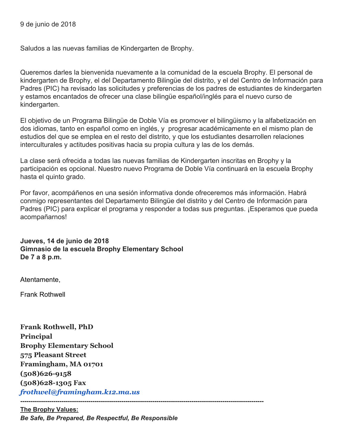Saludos a las nuevas familias de Kindergarten de Brophy.

Queremos darles la bienvenida nuevamente a la comunidad de la escuela Brophy. El personal de kindergarten de Brophy, el del Departamento Bilingüe del distrito, y el del Centro de Información para Padres (PIC) ha revisado las solicitudes y preferencias de los padres de estudiantes de kindergarten y estamos encantados de ofrecer una clase bilingüe español/inglés para el nuevo curso de kindergarten.

El objetivo de un Programa Bilingüe de Doble Vía es promover el bilingüismo y la alfabetización en dos idiomas, tanto en español como en inglés, y progresar académicamente en el mismo plan de estudios del que se emplea en el resto del distrito, y que los estudiantes desarrollen relaciones interculturales y actitudes positivas hacia su propia cultura y las de los demás.

La clase será ofrecida a todas las nuevas familias de Kindergarten inscritas en Brophy y la participación es opcional. Nuestro nuevo Programa de Doble Vía continuará en la escuela Brophy hasta el quinto grado.

Por favor, acompáñenos en una sesión informativa donde ofreceremos más información. Habrá conmigo representantes del Departamento Bilingüe del distrito y del Centro de Información para Padres (PIC) para explicar el programa y responder a todas sus preguntas. ¡Esperamos que pueda acompañarnos!

**Jueves, 14 de junio de 2018 Gimnasio de la escuela Brophy Elementary School De 7 a 8 p.m.**

Atentamente,

Frank Rothwell

**Frank Rothwell, PhD Principal Brophy Elementary School 575 Pleasant Street Framingham, MA 01701 (508)626-9158 (508)628-1305 Fax** *frothwel@framingham.k12.ma.us*

**----------------------------------------------------------------------------------------------------------------------**

**The Brophy Values:** *Be Safe, Be Prepared, Be Respectful, Be Responsible*